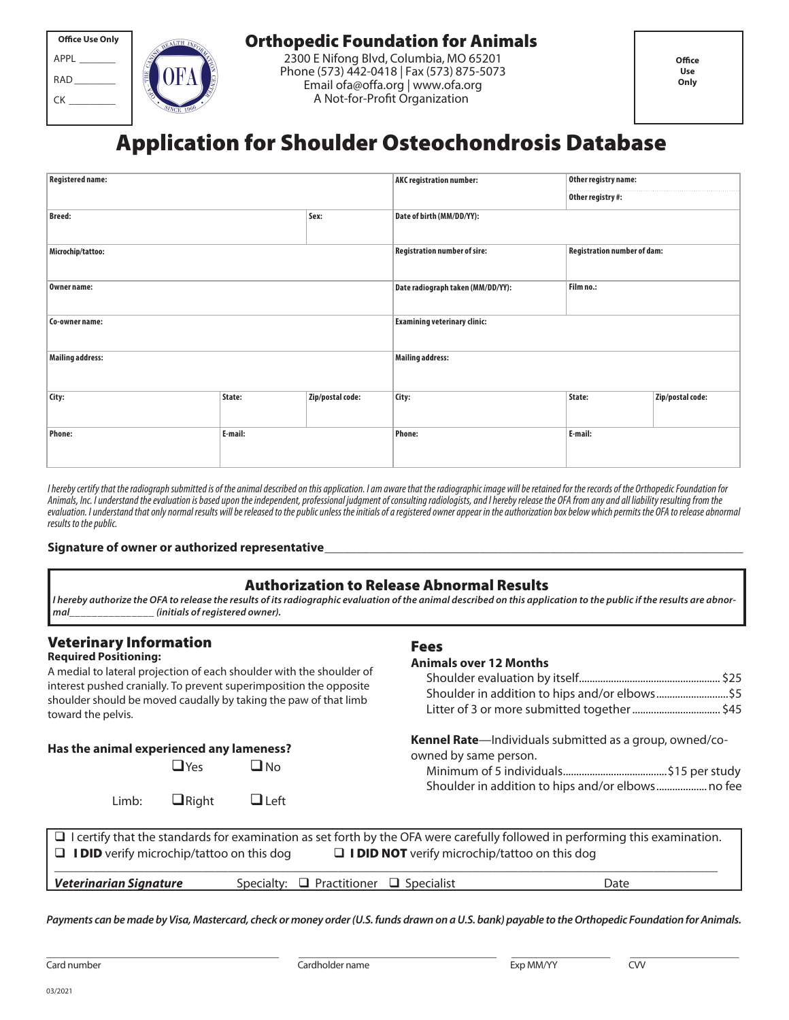| <b>Office Use Only</b> |  |  |  |
|------------------------|--|--|--|
| APPI                   |  |  |  |
| <b>RAD</b>             |  |  |  |
| CК                     |  |  |  |
|                        |  |  |  |



# Orthopedic Foundation for Animals

2300 E Nifong Blvd, Columbia, MO 65201 Phone (573) 442-0418 | Fax (573) 875-5073 Email ofa@offa.org | www.ofa.org A Not-for-Profit Organization

# Application for Shoulder Osteochondrosis Database

| <b>Registered name:</b> |         |                  | Other registry name:<br><b>AKC registration number:</b><br>Other registry #: |                             |                  |
|-------------------------|---------|------------------|------------------------------------------------------------------------------|-----------------------------|------------------|
|                         |         |                  |                                                                              |                             |                  |
| <b>Breed:</b>           |         | Sex:             | Date of birth (MM/DD/YY):                                                    |                             |                  |
| Microchip/tattoo:       |         |                  | <b>Registration number of sire:</b>                                          | Registration number of dam: |                  |
| Owner name:             |         |                  | Date radiograph taken (MM/DD/YY):                                            | Film no.:                   |                  |
| Co-owner name:          |         |                  | <b>Examining veterinary clinic:</b>                                          |                             |                  |
| <b>Mailing address:</b> |         |                  | <b>Mailing address:</b>                                                      |                             |                  |
| City:                   | State:  | Zip/postal code: | City:                                                                        | State:                      | Zip/postal code: |
| <b>Phone:</b>           | E-mail: |                  | <b>Phone:</b>                                                                | E-mail:                     |                  |

I hereby certify that the radiograph submitted is of the animal described on this application. I am aware that the radiographic image will be retained for the records of the Orthopedic Foundation for Animals, Inc. I understand the evaluation is based upon the independent, professional judgment of consulting radiologists, and I hereby release the OFA from any and all liability resulting from the evaluation. I understand that only normal results will be released to the public unless the initials of a registered owner appear in the authorization box below which permits the OFA to release abnormal results to the public.

#### Signature of owner or authorized representative

## Authorization to Release Abnormal Results

**I hereby authorize the OFA to release the results of its radiographic evaluation of the animal described on this application to the public if the results are abnormal\_\_\_\_\_\_\_\_\_\_\_\_\_\_\_ (initials of registered owner).**

## Veterinary Information

## **Required Positioning:**

A medial to lateral projection of each shoulder with the shoulder of interest pushed cranially. To prevent superimposition the opposite shoulder should be moved caudally by taking the paw of that limb toward the pelvis.

#### **Has the animal experienced any lameness?**

\_\_\_\_\_\_\_\_\_\_\_\_\_\_\_\_\_\_\_\_\_\_\_\_\_\_\_\_\_\_\_\_\_\_\_\_\_\_\_\_\_\_\_\_\_\_\_

Limb:  $\Box$  Right  $\Box$  Left

### Fees

#### **Animals over 12 Months**

| \$5\$5 shoulder in addition to hips and/or elbows\$5                                                                                          |  |
|-----------------------------------------------------------------------------------------------------------------------------------------------|--|
| Litter of 3 or more submitted together  \$45                                                                                                  |  |
| <b>Kennel Rate</b> —Individuals submitted as a group, owned/co-<br>owned by same person.<br>Shoulder in addition to hips and/or elbows no fee |  |

| $\Box$ I certify that the standards for examination as set forth by the OFA were carefully followed in performing this examination. |                                                  |      |  |  |  |  |
|-------------------------------------------------------------------------------------------------------------------------------------|--------------------------------------------------|------|--|--|--|--|
| $\Box$ <b>I DID NOT</b> verify microchip/tattoo on this dog<br>$\Box$ <b>IDID</b> verify microchip/tattoo on this dog               |                                                  |      |  |  |  |  |
|                                                                                                                                     |                                                  |      |  |  |  |  |
| <b>Veterinarian Signature</b>                                                                                                       | Specialty: $\Box$ Practitioner $\Box$ Specialist | Date |  |  |  |  |

**Payments can be made by Visa, Mastercard, check or money order (U.S. funds drawn on a U.S. bank) payable to the Orthopedic Foundation for Animals.**

\_\_\_\_\_\_\_\_\_\_\_\_\_\_\_\_\_\_\_\_\_\_\_\_\_\_\_\_\_\_\_\_\_\_\_\_\_\_\_\_

Card number